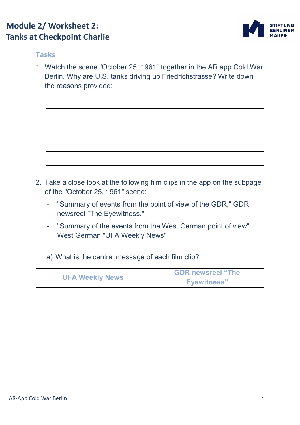## **Module 2/ Worksheet 2: Tanks at Checkpoint Charlie**



## **Tasks**

1. Watch the scene "October 25, 1961" together in the AR app Cold War Berlin. Why are U.S. tanks driving up Friedrichstrasse? Write down the reasons provided:

- 2. Take a close look at the following film clips in the app on the subpage of the "October 25, 1961" scene:
	- "Summary of events from the point of view of the GDR," GDR newsreel "The Eyewitness."
	- "Summary of the events from the West German point of view" West German "UFA Weekly News"
	- a) What is the central message of each film clip?

| <b>UFA Weekly News</b> | <b>GDR newsreel "The</b><br><b>Eyewitness</b> " |
|------------------------|-------------------------------------------------|
|                        |                                                 |
|                        |                                                 |
|                        |                                                 |
|                        |                                                 |
|                        |                                                 |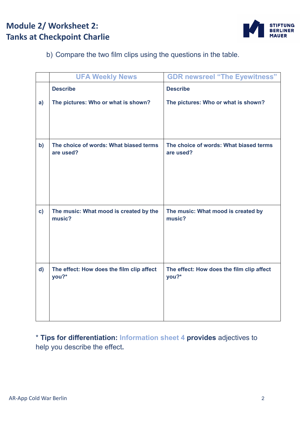## **Module 2/ Worksheet 2: Tanks at Checkpoint Charlie**



b) Compare the two film clips using the questions in the table.

|               | <b>UFA Weekly News</b>                              | <b>GDR newsreel "The Eyewitness"</b>                |
|---------------|-----------------------------------------------------|-----------------------------------------------------|
|               | <b>Describe</b>                                     | <b>Describe</b>                                     |
| a)            | The pictures: Who or what is shown?                 | The pictures: Who or what is shown?                 |
| $\mathbf{b}$  | The choice of words: What biased terms<br>are used? | The choice of words: What biased terms<br>are used? |
| $\mathbf{c})$ | The music: What mood is created by the<br>music?    | The music: What mood is created by<br>music?        |
| $\mathsf{d}$  | The effect: How does the film clip affect<br>you?*  | The effect: How does the film clip affect<br>you?*  |

\* **Tips for differentiation: Information sheet 4 provides** adjectives to help you describe the effect**.**